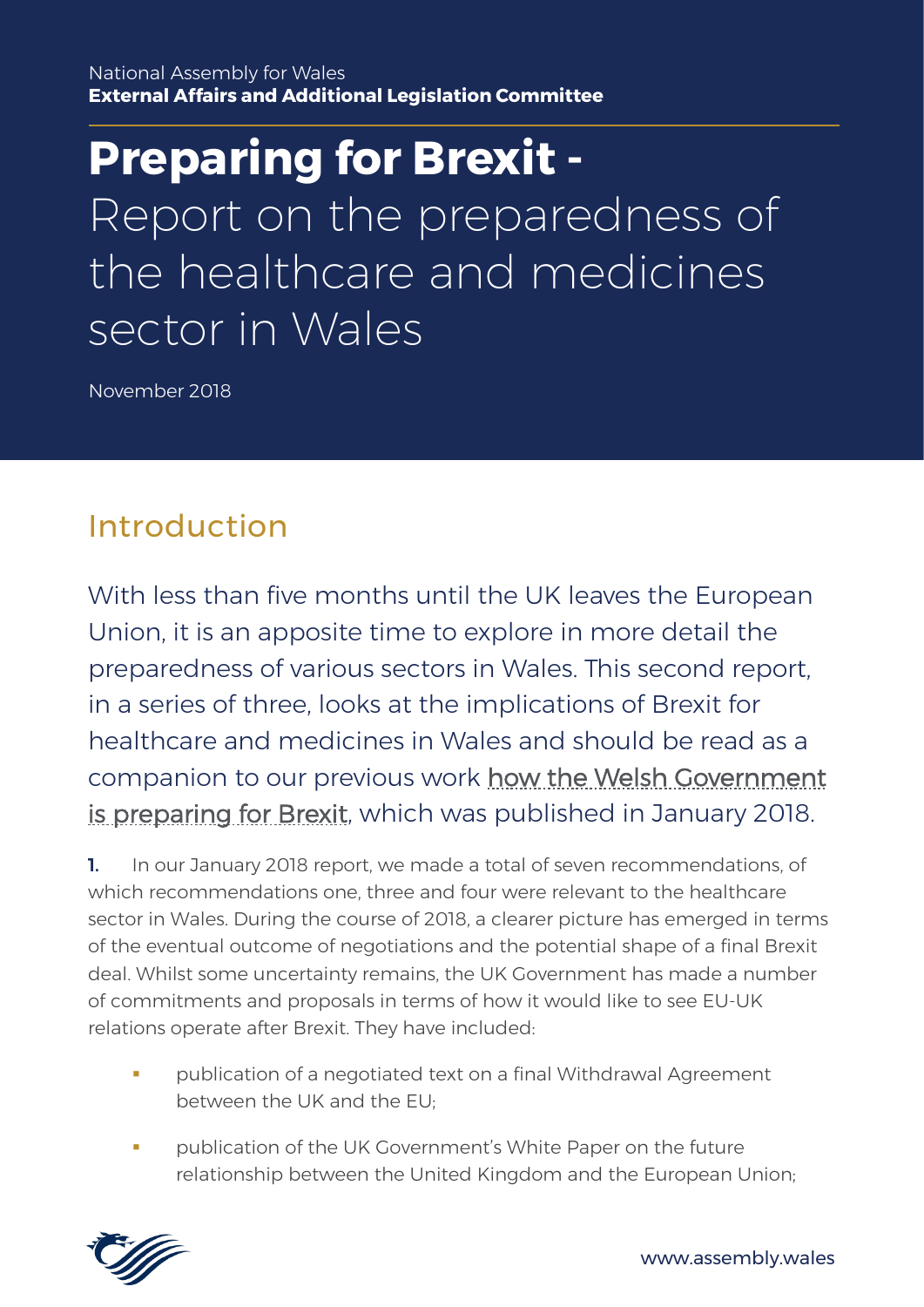**Preparing for Brexit -** Report on the preparedness of the healthcare and medicines sector in Wales

November 2018

# Introduction

With less than five months until the UK leaves the European Union, it is an apposite time to explore in more detail the preparedness of various sectors in Wales. This second report, in a series of three, looks at the implications of Brexit for healthcare and medicines in Wales and should be read as a companion to our previous work [how the Welsh Government](http://www.assembly.wales/laid%20documents/cr-ld11403/cr-ld11403-e.pdf)  [is preparing for Brexit,](http://www.assembly.wales/laid%20documents/cr-ld11403/cr-ld11403-e.pdf) which was published in January 2018.

1. In our January 2018 report, we made a total of seven recommendations, of which recommendations one, three and four were relevant to the healthcare sector in Wales. During the course of 2018, a clearer picture has emerged in terms of the eventual outcome of negotiations and the potential shape of a final Brexit deal. Whilst some uncertainty remains, the UK Government has made a number of commitments and proposals in terms of how it would like to see EU-UK relations operate after Brexit. They have included:

- publication of a negotiated text on a final Withdrawal Agreement between the UK and the EU;
- publication of the UK Government's White Paper on the future relationship between the United Kingdom and the European Union;

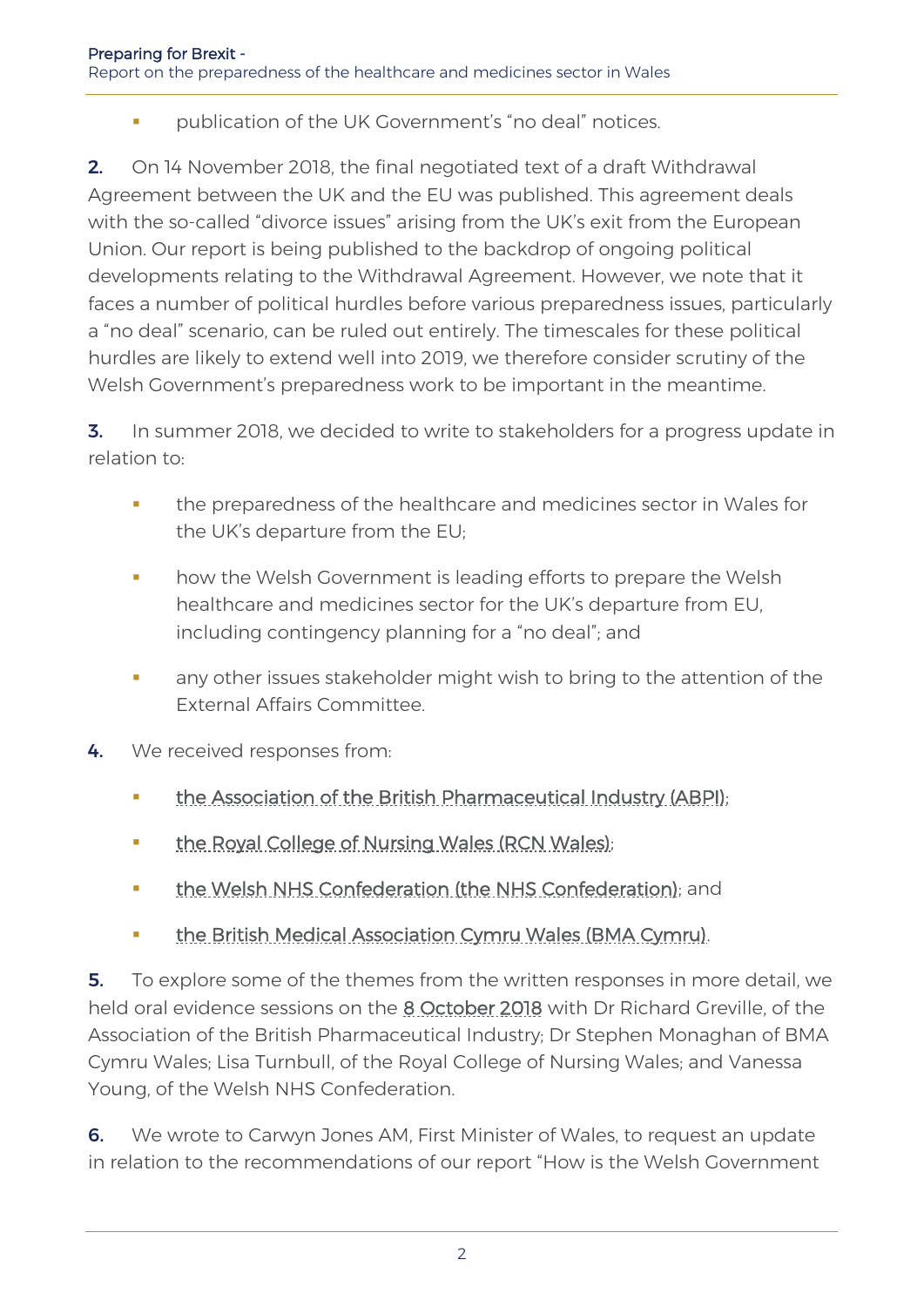■ publication of the UK Government's "no deal" notices.

2. On 14 November 2018, the final negotiated text of a draft Withdrawal Agreement between the UK and the EU was published. This agreement deals with the so-called "divorce issues" arising from the UK's exit from the European Union. Our report is being published to the backdrop of ongoing political developments relating to the Withdrawal Agreement. However, we note that it faces a number of political hurdles before various preparedness issues, particularly a "no deal" scenario, can be ruled out entirely. The timescales for these political hurdles are likely to extend well into 2019, we therefore consider scrutiny of the Welsh Government's preparedness work to be important in the meantime.

**3.** In summer 2018, we decided to write to stakeholders for a progress update in relation to:

- **•** the preparedness of the healthcare and medicines sector in Wales for the UK's departure from the EU;
- how the Welsh Government is leading efforts to prepare the Welsh healthcare and medicines sector for the UK's departure from EU, including contingency planning for a "no deal"; and
- any other issues stakeholder might wish to bring to the attention of the External Affairs Committee.
- 4. We received responses from:
	- **[the Association of the British Pharmaceutical Industry \(ABPI\);](http://senedd.assembly.wales/documents/s79235/Correspondence%20from%20the%20Association%20of%20the%20British%20Pharmaceutical%20Industry%20regarding%20the%20follow-up%20i.pdf)**
	- **the Royal College of Nursing Wales (RCN Wales):**
	- [the Welsh NHS Confederation \(the NHS Confederation\);](http://senedd.assembly.wales/documents/s79232/Correspondence%20from%20the%20Welsh%20NHS%20Confederation%20regarding%20the%20follow-up%20inquiry%20into%20how%20the%20Welsh%20G.pdf) and
	- **the British Medical Association Cymru Wales (BMA Cymru).**

5. To explore some of the themes from the written responses in more detail, we held oral evidence sessions on the [8 October 2018](http://record.assembly.wales/Committee/5051) with Dr Richard Greville, of the Association of the British Pharmaceutical Industry; Dr Stephen Monaghan of BMA Cymru Wales; Lisa Turnbull, of the Royal College of Nursing Wales; and Vanessa Young, of the Welsh NHS Confederation.

6. We wrote to Carwyn Jones AM, First Minister of Wales, to request an update in relation to the recommendations of our report "How is the Welsh Government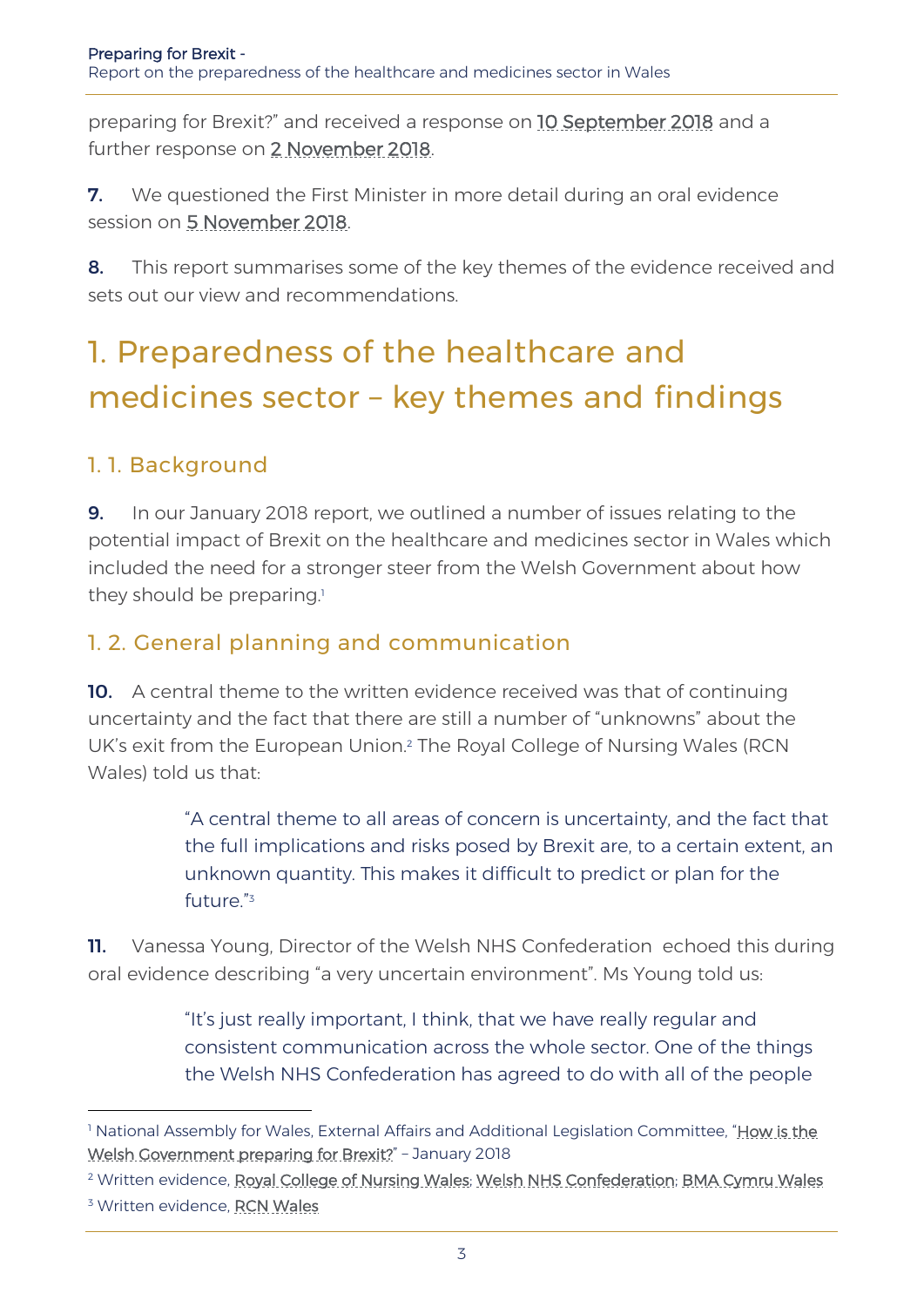preparing for Brexit?" and received a response on [10 September 2018](http://senedd.assembly.wales/documents/s80875/Correspondence%20from%20the%20First%20Minister%20regarding%20the%20request%20for%20an%20update%20on%20progress%20with%20recommen.pdf) and a further response on [2 November 2018.](http://senedd.assembly.wales/documents/s80388/Correspondence%20from%20the%20First%20Minister%20of%20Wales%20regarding%20an%20update%20on%20progress%20with%20recommendations.pdf)

**7.** We questioned the First Minister in more detail during an oral evidence session on [5 November 2018.](http://record.assembly.wales/Committee/5056)

8. This report summarises some of the key themes of the evidence received and sets out our view and recommendations.

# 1. Preparedness of the healthcare and medicines sector – key themes and findings

### 1. 1. Background

**9.** In our January 2018 report, we outlined a number of issues relating to the potential impact of Brexit on the healthcare and medicines sector in Wales which included the need for a stronger steer from the Welsh Government about how they should be preparing.<sup>1</sup>

#### 1. 2. General planning and communication

10. A central theme to the written evidence received was that of continuing uncertainty and the fact that there are still a number of "unknowns" about the UK's exit from the European Union.<sup>2</sup> The Royal College of Nursing Wales (RCN Wales) told us that:

> "A central theme to all areas of concern is uncertainty, and the fact that the full implications and risks posed by Brexit are, to a certain extent, an unknown quantity. This makes it difficult to predict or plan for the future." 3

**11.** Vanessa Young, Director of the Welsh NHS Confederation echoed this during oral evidence describing "a very uncertain environment". Ms Young told us:

> "It's just really important, I think, that we have really regular and consistent communication across the whole sector. One of the things the Welsh NHS Confederation has agreed to do with all of the people

<sup>&</sup>lt;sup>1</sup> National Assembly for Wales, External Affairs and Additional Legislation Committee, "How is the [Welsh Government preparing for Brexit?](http://www.assembly.wales/laid%20documents/cr-ld11403/cr-ld11403-e.pdf)" - January 2018

<sup>&</sup>lt;sup>2</sup> Written evidence, [Royal College of Nursing Wales;](http://senedd.assembly.wales/documents/s79233/Correspondence%20from%20the%20Royal%20College%20of%20Nursing%20Wales%20regarding%20the%20follow-up%20inquiry%20into%20how%20the%20.pdf) [Welsh NHS Confederation;](http://senedd.assembly.wales/documents/s79232/Correspondence%20from%20the%20Welsh%20NHS%20Confederation%20regarding%20the%20follow-up%20inquiry%20into%20how%20the%20Welsh%20G.pdf) [BMA Cymru Wales](http://senedd.assembly.wales/documents/s79229/Correspondence%20from%20BMA%20Cymru%20Wales%20regarding%20the%20follow-up%20inquiry%20into%20how%20the%20Welsh%20Government%20is.pdf)

<sup>&</sup>lt;sup>3</sup> Written evidence, [RCN Wales](http://senedd.assembly.wales/documents/s79233/Correspondence%20from%20the%20Royal%20College%20of%20Nursing%20Wales%20regarding%20the%20follow-up%20inquiry%20into%20how%20the%20.pdf)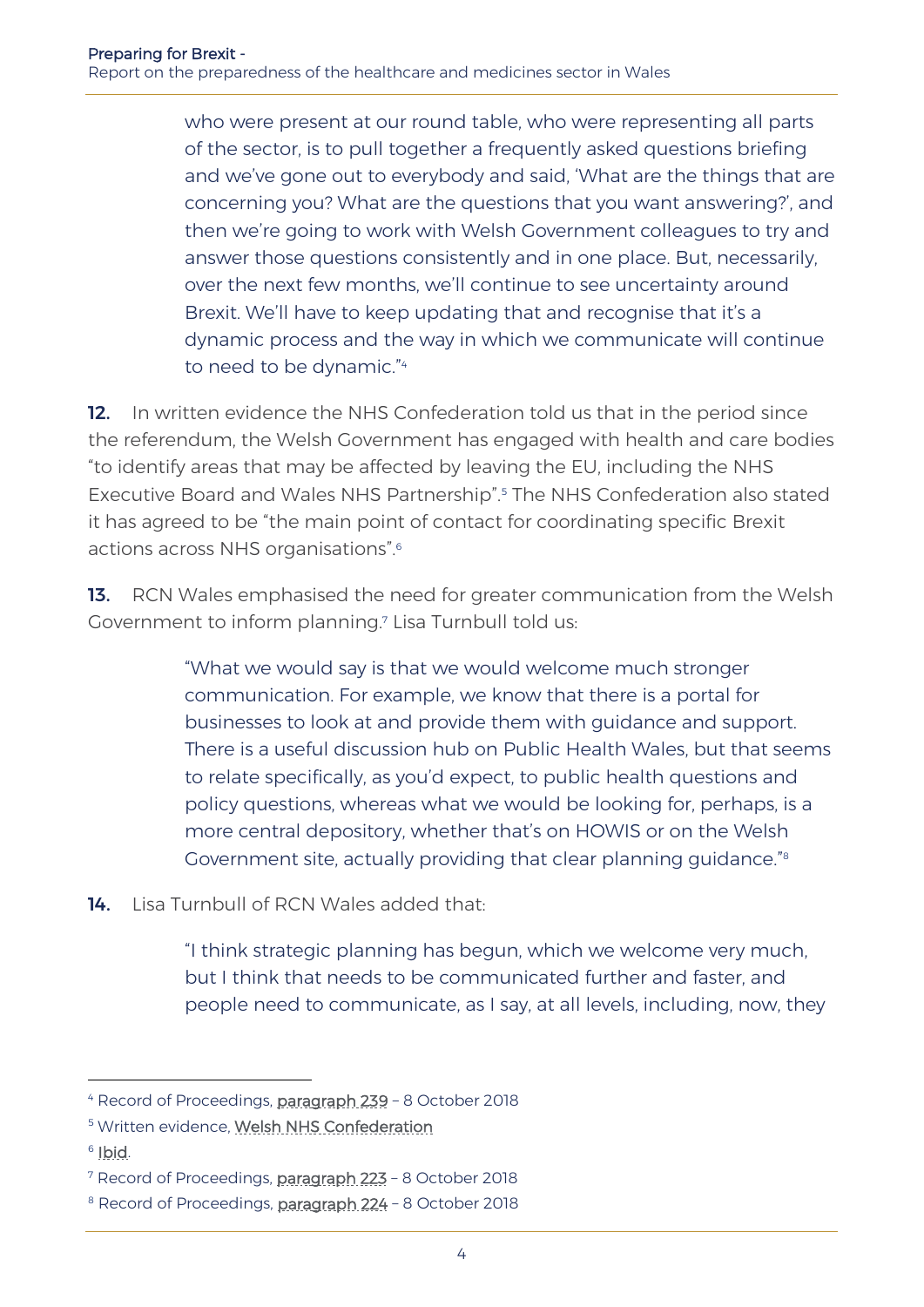who were present at our round table, who were representing all parts of the sector, is to pull together a frequently asked questions briefing and we've gone out to everybody and said, 'What are the things that are concerning you? What are the questions that you want answering?', and then we're going to work with Welsh Government colleagues to try and answer those questions consistently and in one place. But, necessarily, over the next few months, we'll continue to see uncertainty around Brexit. We'll have to keep updating that and recognise that it's a dynamic process and the way in which we communicate will continue to need to be dynamic." 4

12. In written evidence the NHS Confederation told us that in the period since the referendum, the Welsh Government has engaged with health and care bodies "to identify areas that may be affected by leaving the EU, including the NHS Executive Board and Wales NHS Partnership".<sup>5</sup> The NHS Confederation also stated it has agreed to be "the main point of contact for coordinating specific Brexit actions across NHS organisations".<sup>6</sup>

13. RCN Wales emphasised the need for greater communication from the Welsh Government to inform planning. <sup>7</sup> Lisa Turnbull told us:

> "What we would say is that we would welcome much stronger communication. For example, we know that there is a portal for businesses to look at and provide them with guidance and support. There is a useful discussion hub on Public Health Wales, but that seems to relate specifically, as you'd expect, to public health questions and policy questions, whereas what we would be looking for, perhaps, is a more central depository, whether that's on HOWIS or on the Welsh Government site, actually providing that clear planning guidance." 8

14. Lisa Turnbull of RCN Wales added that:

"I think strategic planning has begun, which we welcome very much, but I think that needs to be communicated further and faster, and people need to communicate, as I say, at all levels, including, now, they

<sup>6</sup> Ibid.

<sup>4</sup> Record of Proceedings, [paragraph 239](http://record.assembly.wales/Committee/5051) – 8 October 2018

<sup>5</sup> Written evidence, [Welsh NHS Confederation](http://senedd.assembly.wales/documents/s79232/Correspondence%20from%20the%20Welsh%20NHS%20Confederation%20regarding%20the%20follow-up%20inquiry%20into%20how%20the%20Welsh%20G.pdf)

<sup>7</sup> Record of Proceedings, [paragraph 223](http://record.assembly.wales/Committee/5051) – 8 October 2018

<sup>&</sup>lt;sup>8</sup> Record of Proceedings, [paragraph 224](http://record.assembly.wales/Committee/5051) - 8 October 2018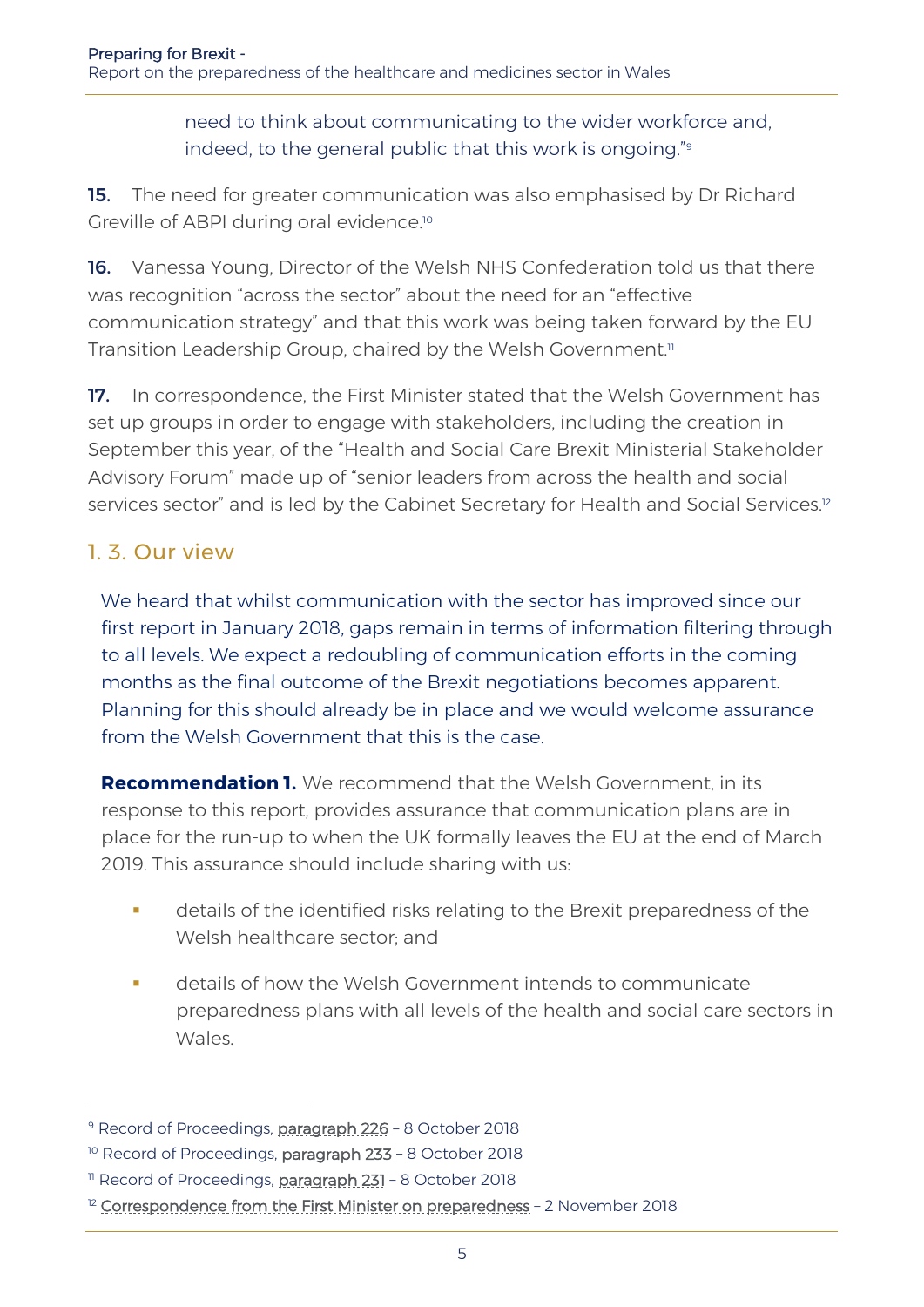need to think about communicating to the wider workforce and, indeed, to the general public that this work is ongoing." 9

15. The need for greater communication was also emphasised by Dr Richard Greville of ABPI during oral evidence.<sup>10</sup>

16. Vanessa Young, Director of the Welsh NHS Confederation told us that there was recognition "across the sector" about the need for an "effective communication strategy" and that this work was being taken forward by the EU Transition Leadership Group, chaired by the Welsh Government.<sup>11</sup>

17. In correspondence, the First Minister stated that the Welsh Government has set up groups in order to engage with stakeholders, including the creation in September this year, of the "Health and Social Care Brexit Ministerial Stakeholder Advisory Forum" made up of "senior leaders from across the health and social services sector" and is led by the Cabinet Secretary for Health and Social Services.<sup>12</sup>

#### 1. 3. Our view

-

We heard that whilst communication with the sector has improved since our first report in January 2018, gaps remain in terms of information filtering through to all levels. We expect a redoubling of communication efforts in the coming months as the final outcome of the Brexit negotiations becomes apparent. Planning for this should already be in place and we would welcome assurance from the Welsh Government that this is the case.

**Recommendation 1.** We recommend that the Welsh Government, in its response to this report, provides assurance that communication plans are in place for the run-up to when the UK formally leaves the EU at the end of March 2019. This assurance should include sharing with us:

- **•** details of the identified risks relating to the Brexit preparedness of the Welsh healthcare sector; and
- details of how the Welsh Government intends to communicate preparedness plans with all levels of the health and social care sectors in Wales.

<sup>&</sup>lt;sup>9</sup> Record of Proceedings, [paragraph 226](http://record.assembly.wales/Committee/5051) - 8 October 2018

<sup>&</sup>lt;sup>10</sup> Record of Proceedings, [paragraph 233](http://record.assembly.wales/Committee/5051) - 8 October 2018

<sup>&</sup>lt;sup>11</sup> Record of Proceedings, [paragraph 231](http://record.assembly.wales/Committee/5051) - 8 October 2018

 $12$  [Correspondence from the First Minister on preparedness](http://senedd.assembly.wales/documents/s80388/Correspondence%20from%20the%20First%20Minister%20of%20Wales%20regarding%20an%20update%20on%20progress%20with%20recommendations.pdf) - 2 November 2018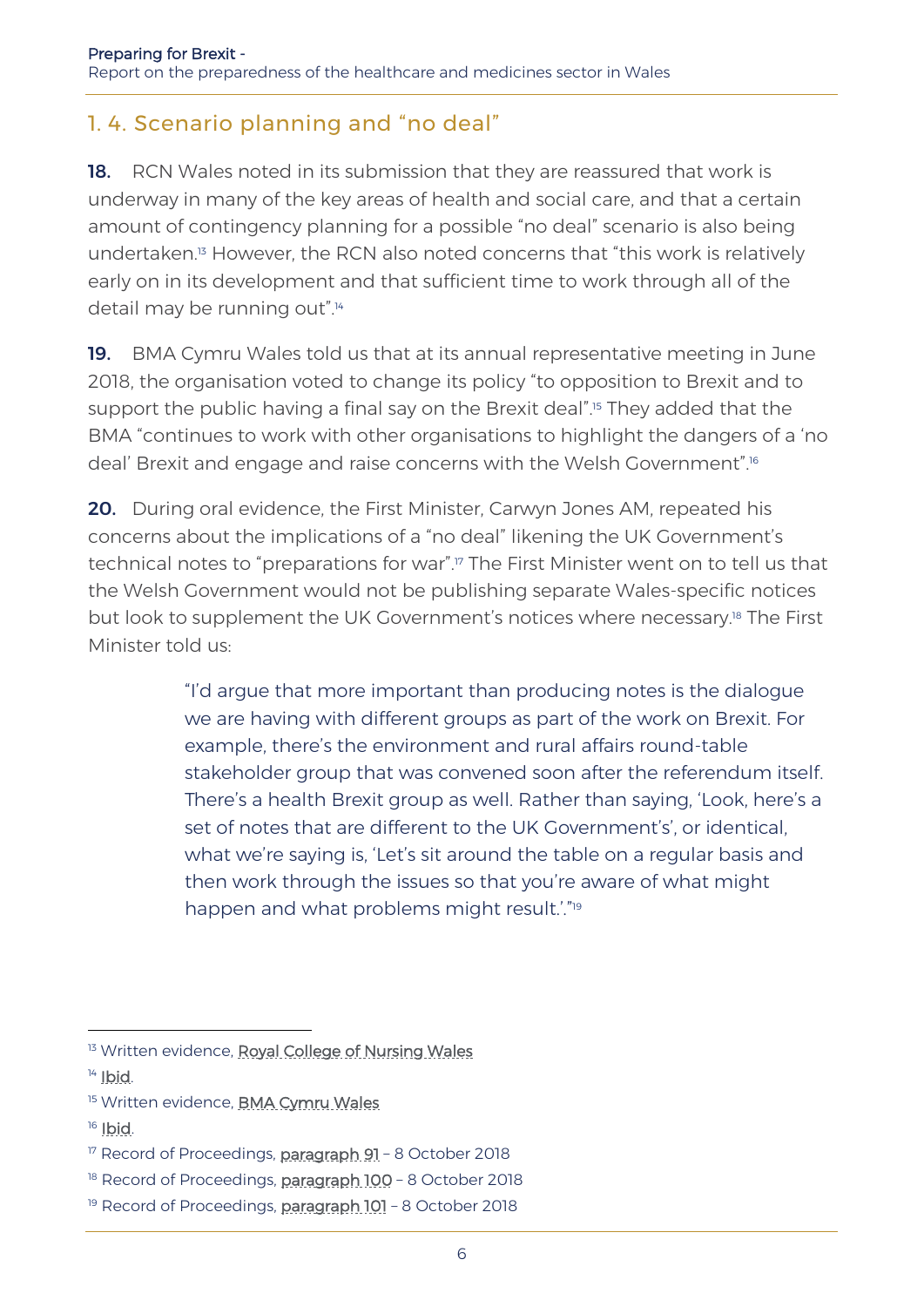#### 1. 4. Scenario planning and "no deal"

18. RCN Wales noted in its submission that they are reassured that work is underway in many of the key areas of health and social care, and that a certain amount of contingency planning for a possible "no deal" scenario is also being undertaken.<sup>13</sup> However, the RCN also noted concerns that "this work is relatively early on in its development and that sufficient time to work through all of the detail may be running out".<sup>14</sup>

19. BMA Cymru Wales told us that at its annual representative meeting in June 2018, the organisation voted to change its policy "to opposition to Brexit and to support the public having a final say on the Brexit deal".<sup>15</sup> They added that the BMA "continues to work with other organisations to highlight the dangers of a 'no deal' Brexit and engage and raise concerns with the Welsh Government".<sup>16</sup>

20. During oral evidence, the First Minister, Carwyn Jones AM, repeated his concerns about the implications of a "no deal" likening the UK Government's technical notes to "preparations for war".<sup>17</sup> The First Minister went on to tell us that the Welsh Government would not be publishing separate Wales-specific notices but look to supplement the UK Government's notices where necessary.<sup>18</sup> The First Minister told us:

> "I'd argue that more important than producing notes is the dialogue we are having with different groups as part of the work on Brexit. For example, there's the environment and rural affairs round-table stakeholder group that was convened soon after the referendum itself. There's a health Brexit group as well. Rather than saying, 'Look, here's a set of notes that are different to the UK Government's', or identical, what we're saying is, 'Let's sit around the table on a regular basis and then work through the issues so that you're aware of what might happen and what problems might result.'."<sup>19</sup>

- <sup>15</sup> Written evidence, **BMA Cymru Wales**
- <sup>16</sup> Ibid.

<sup>&</sup>lt;sup>13</sup> Written evidence, [Royal College of Nursing Wales](http://senedd.assembly.wales/documents/s79233/Correspondence%20from%20the%20Royal%20College%20of%20Nursing%20Wales%20regarding%20the%20follow-up%20inquiry%20into%20how%20the%20.pdf)

<sup>&</sup>lt;sup>14</sup> [Ibid.](http://senedd.assembly.wales/documents/s79233/Correspondence%20from%20the%20Royal%20College%20of%20Nursing%20Wales%20regarding%20the%20follow-up%20inquiry%20into%20how%20the%20.pdf)

<sup>&</sup>lt;sup>17</sup> Record of Proceedings, [paragraph 91](http://record.assembly.wales/Committee/5051) - 8 October 2018

<sup>&</sup>lt;sup>18</sup> Record of Proceedings, [paragraph 100](http://record.assembly.wales/Committee/5051) - 8 October 2018

<sup>&</sup>lt;sup>19</sup> Record of Proceedings, **paragraph 101** - 8 October 2018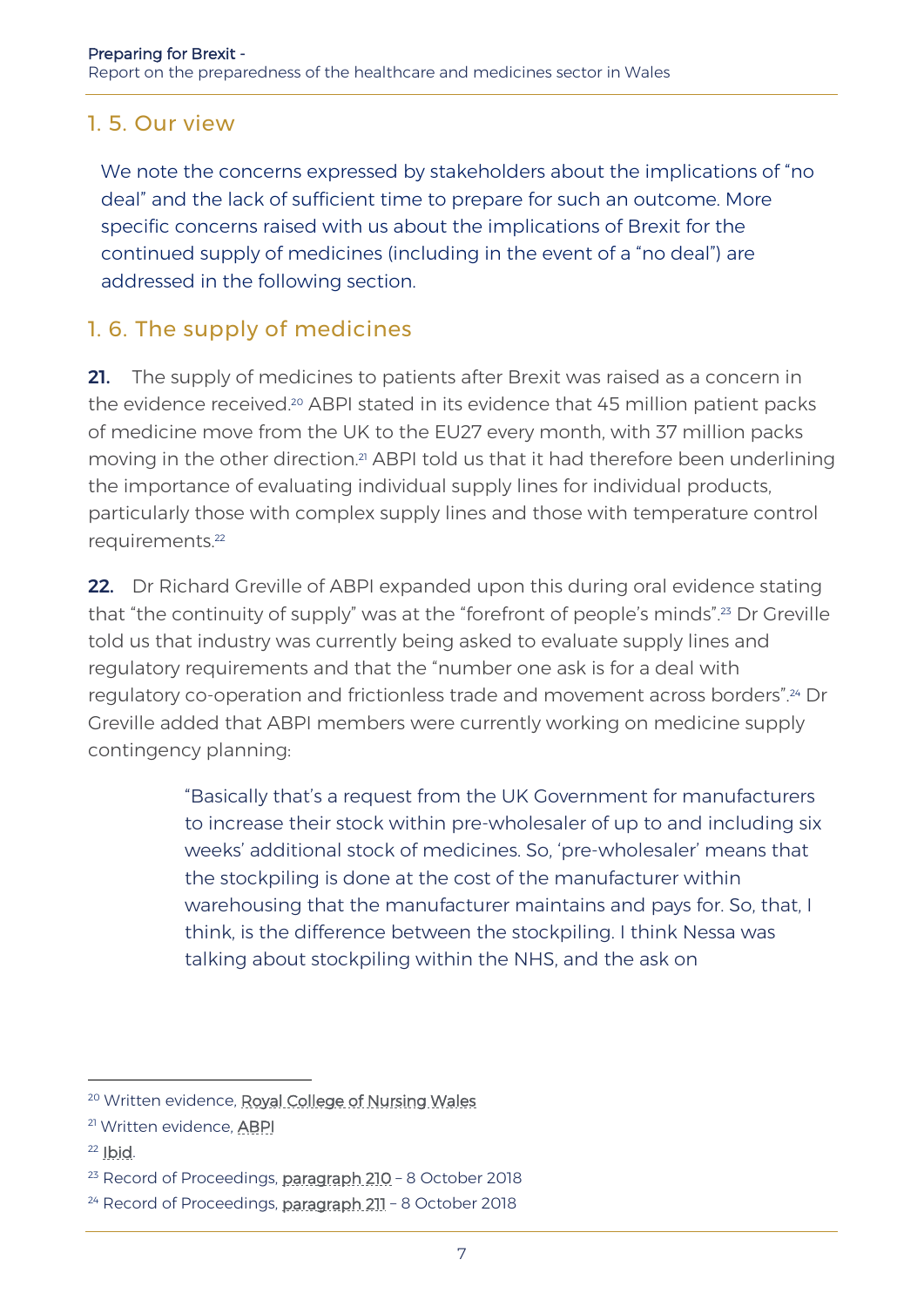#### 1. 5. Our view

We note the concerns expressed by stakeholders about the implications of "no deal" and the lack of sufficient time to prepare for such an outcome. More specific concerns raised with us about the implications of Brexit for the continued supply of medicines (including in the event of a "no deal") are addressed in the following section.

#### 1. 6. The supply of medicines

21. The supply of medicines to patients after Brexit was raised as a concern in the evidence received.<sup>20</sup> ABPI stated in its evidence that 45 million patient packs of medicine move from the UK to the EU27 every month, with 37 million packs moving in the other direction.<sup>21</sup> ABPI told us that it had therefore been underlining the importance of evaluating individual supply lines for individual products, particularly those with complex supply lines and those with temperature control requirements.<sup>22</sup>

22. Dr Richard Greville of ABPI expanded upon this during oral evidence stating that "the continuity of supply" was at the "forefront of people's minds".<sup>23</sup> Dr Greville told us that industry was currently being asked to evaluate supply lines and regulatory requirements and that the "number one ask is for a deal with regulatory co-operation and frictionless trade and movement across borders".<sup>24</sup> Dr Greville added that ABPI members were currently working on medicine supply contingency planning:

> "Basically that's a request from the UK Government for manufacturers to increase their stock within pre-wholesaler of up to and including six weeks' additional stock of medicines. So, 'pre-wholesaler' means that the stockpiling is done at the cost of the manufacturer within warehousing that the manufacturer maintains and pays for. So, that, I think, is the difference between the stockpiling. I think Nessa was talking about stockpiling within the NHS, and the ask on

 $22$  Ibid.

<sup>20</sup> Written evidence, [Royal College of Nursing Wales](http://senedd.assembly.wales/documents/s79233/Correspondence%20from%20the%20Royal%20College%20of%20Nursing%20Wales%20regarding%20the%20follow-up%20inquiry%20into%20how%20the%20.pdf)

<sup>21</sup> Written evidence, [ABPI](http://senedd.assembly.wales/documents/s79235/Correspondence%20from%20the%20Association%20of%20the%20British%20Pharmaceutical%20Industry%20regarding%20the%20follow-up%20i.pdf)

<sup>&</sup>lt;sup>23</sup> Record of Proceedings, **paragraph 210** - 8 October 2018

<sup>&</sup>lt;sup>24</sup> Record of Proceedings, [paragraph 211](http://record.assembly.wales/Committee/5051) - 8 October 2018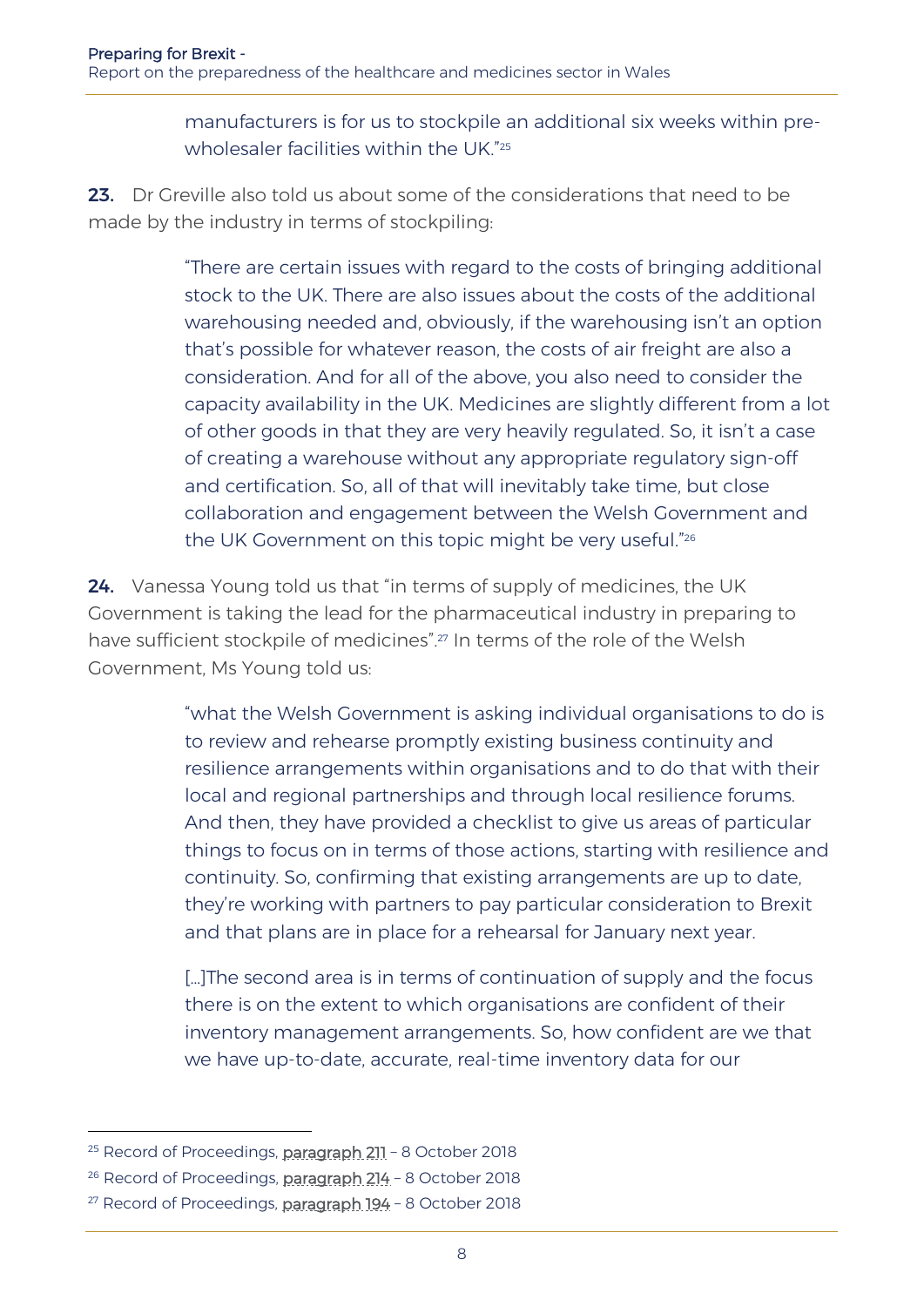manufacturers is for us to stockpile an additional six weeks within prewholesaler facilities within the UK." 25

23. Dr Greville also told us about some of the considerations that need to be made by the industry in terms of stockpiling:

> "There are certain issues with regard to the costs of bringing additional stock to the UK. There are also issues about the costs of the additional warehousing needed and, obviously, if the warehousing isn't an option that's possible for whatever reason, the costs of air freight are also a consideration. And for all of the above, you also need to consider the capacity availability in the UK. Medicines are slightly different from a lot of other goods in that they are very heavily regulated. So, it isn't a case of creating a warehouse without any appropriate regulatory sign-off and certification. So, all of that will inevitably take time, but close collaboration and engagement between the Welsh Government and the UK Government on this topic might be very useful." 26

24. Vanessa Young told us that "in terms of supply of medicines, the UK Government is taking the lead for the pharmaceutical industry in preparing to have sufficient stockpile of medicines".<sup>27</sup> In terms of the role of the Welsh Government, Ms Young told us:

> "what the Welsh Government is asking individual organisations to do is to review and rehearse promptly existing business continuity and resilience arrangements within organisations and to do that with their local and regional partnerships and through local resilience forums. And then, they have provided a checklist to give us areas of particular things to focus on in terms of those actions, starting with resilience and continuity. So, confirming that existing arrangements are up to date, they're working with partners to pay particular consideration to Brexit and that plans are in place for a rehearsal for January next year.

[…]The second area is in terms of continuation of supply and the focus there is on the extent to which organisations are confident of their inventory management arrangements. So, how confident are we that we have up-to-date, accurate, real-time inventory data for our

<sup>&</sup>lt;sup>25</sup> Record of Proceedings, [paragraph 211](http://record.assembly.wales/Committee/5051) - 8 October 2018

<sup>&</sup>lt;sup>26</sup> Record of Proceedings, **paragraph 214** - 8 October 2018

<sup>&</sup>lt;sup>27</sup> Record of Proceedings, [paragraph 194](http://record.assembly.wales/Committee/5051) - 8 October 2018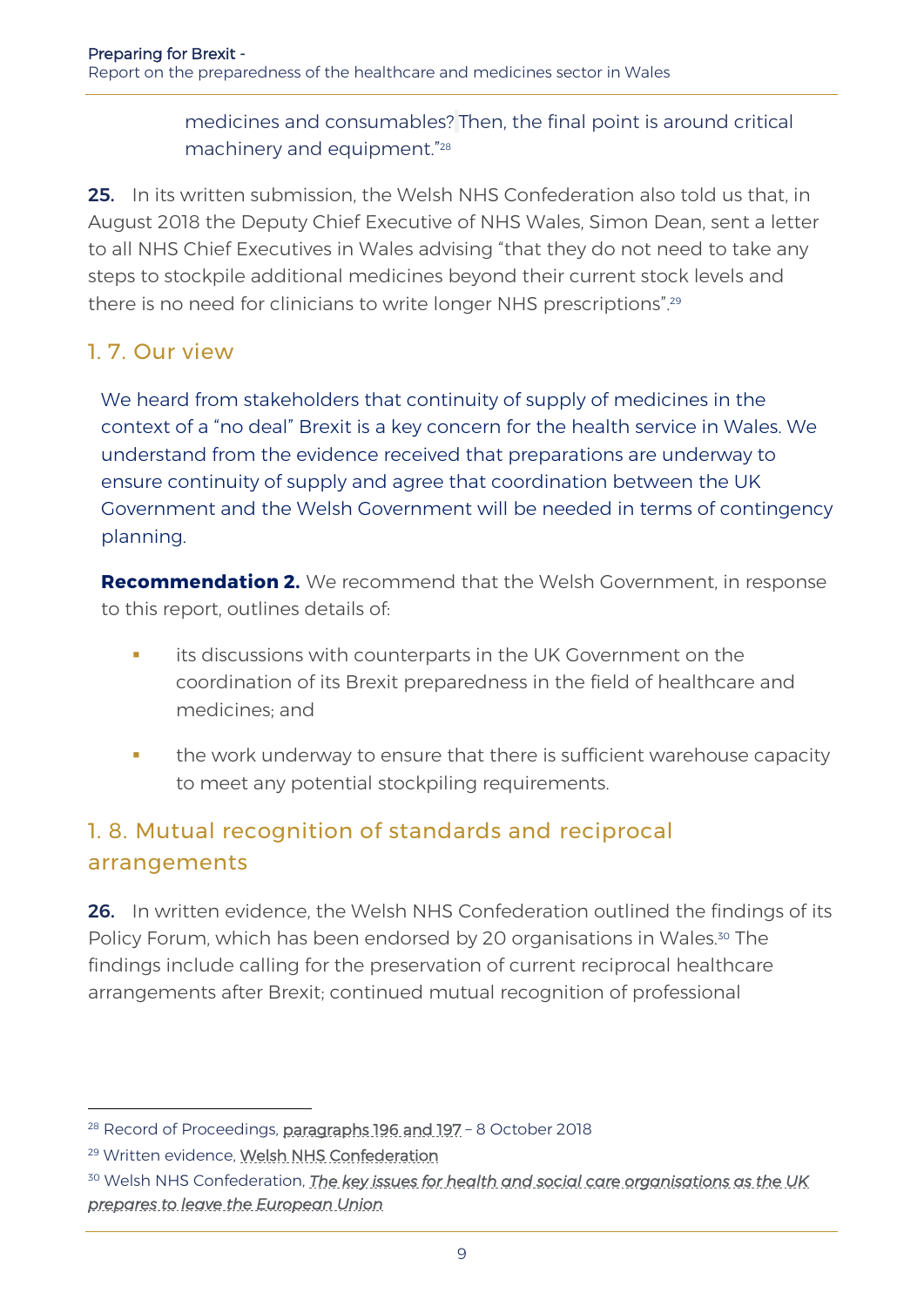medicines and consumables? Then, the final point is around critical machinery and equipment." 28

25. In its written submission, the Welsh NHS Confederation also told us that, in August 2018 the Deputy Chief Executive of NHS Wales, Simon Dean, sent a letter to all NHS Chief Executives in Wales advising "that they do not need to take any steps to stockpile additional medicines beyond their current stock levels and there is no need for clinicians to write longer NHS prescriptions". 29

#### 1. 7. Our view

We heard from stakeholders that continuity of supply of medicines in the context of a "no deal" Brexit is a key concern for the health service in Wales. We understand from the evidence received that preparations are underway to ensure continuity of supply and agree that coordination between the UK Government and the Welsh Government will be needed in terms of contingency planning.

**Recommendation 2.** We recommend that the Welsh Government, in response to this report, outlines details of:

- **its discussions with counterparts in the UK Government on the** coordination of its Brexit preparedness in the field of healthcare and medicines; and
- the work underway to ensure that there is sufficient warehouse capacity to meet any potential stockpiling requirements.

# 1. 8. Mutual recognition of standards and reciprocal arrangements

26. In written evidence, the Welsh NHS Confederation outlined the findings of its Policy Forum, which has been endorsed by 20 organisations in Wales.<sup>30</sup> The findings include calling for the preservation of current reciprocal healthcare arrangements after Brexit; continued mutual recognition of professional

<sup>&</sup>lt;sup>28</sup> Record of Proceedings, [paragraphs 196 and 197](http://record.assembly.wales/Committee/5051) - 8 October 2018

<sup>29</sup> Written evidence, [Welsh NHS Confederation](http://senedd.assembly.wales/documents/s79232/Correspondence%20from%20the%20Welsh%20NHS%20Confederation%20regarding%20the%20follow-up%20inquiry%20into%20how%20the%20Welsh%20G.pdf)

<sup>30</sup> Welsh NHS Confederation, *[The key issues for health and social care organisations as the UK](https://www.nhsconfed.org/-/media/Confederation/Files/Wales-Confed/Wales-Policy-Forum-Brexit-briefing.pdf)  [prepares to leave the European Union](https://www.nhsconfed.org/-/media/Confederation/Files/Wales-Confed/Wales-Policy-Forum-Brexit-briefing.pdf)*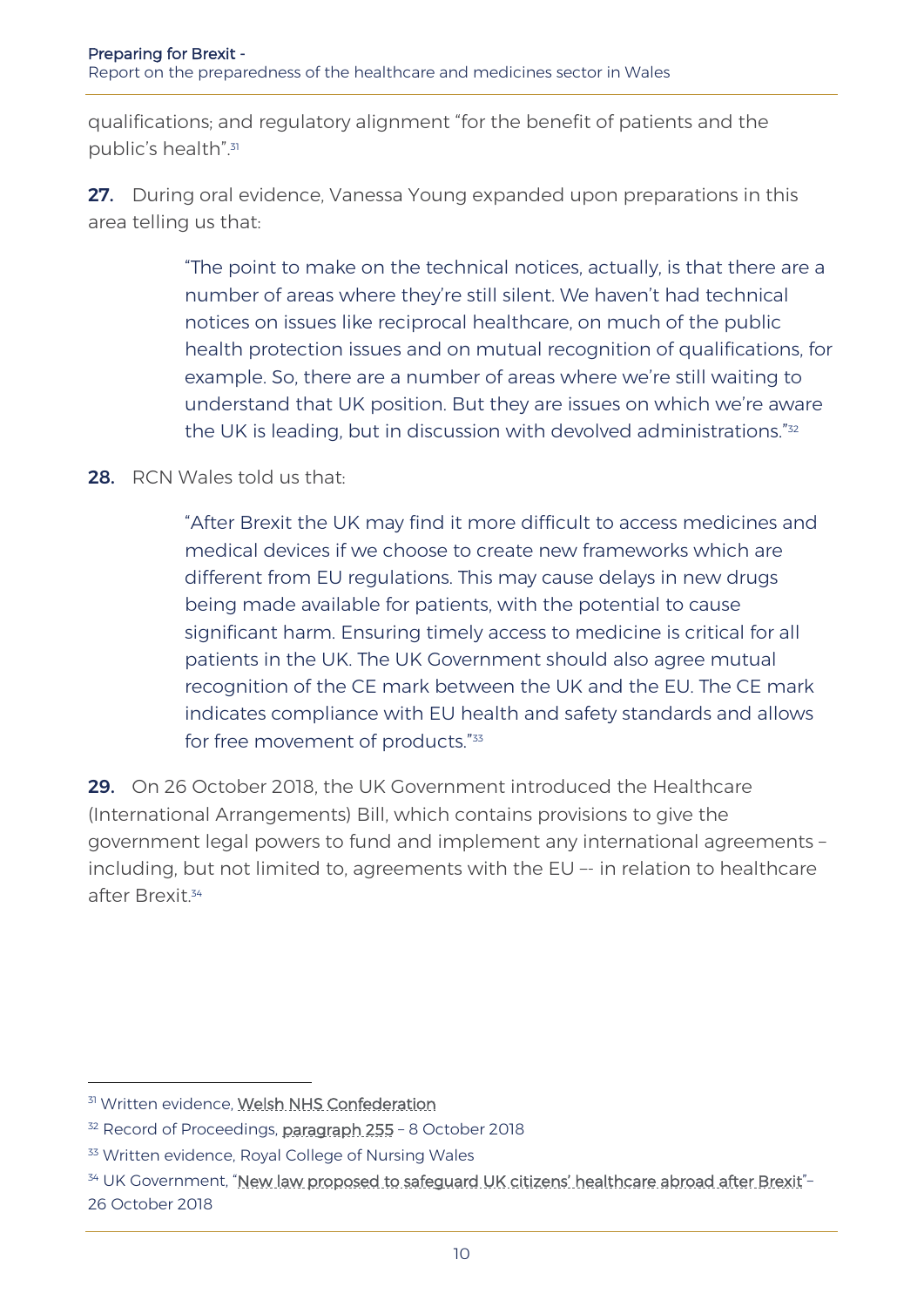qualifications; and regulatory alignment "for the benefit of patients and the public's health". 31

27. During oral evidence, Vanessa Young expanded upon preparations in this area telling us that:

> "The point to make on the technical notices, actually, is that there are a number of areas where they're still silent. We haven't had technical notices on issues like reciprocal healthcare, on much of the public health protection issues and on mutual recognition of qualifications, for example. So, there are a number of areas where we're still waiting to understand that UK position. But they are issues on which we're aware the UK is leading, but in discussion with devolved administrations."<sup>32</sup>

28. RCN Wales told us that:

"After Brexit the UK may find it more difficult to access medicines and medical devices if we choose to create new frameworks which are different from EU regulations. This may cause delays in new drugs being made available for patients, with the potential to cause significant harm. Ensuring timely access to medicine is critical for all patients in the UK. The UK Government should also agree mutual recognition of the CE mark between the UK and the EU. The CE mark indicates compliance with EU health and safety standards and allows for free movement of products."<sup>33</sup>

29. On 26 October 2018, the UK Government introduced the Healthcare (International Arrangements) Bill, which contains provisions to give the government legal powers to fund and implement any international agreements – including, but not limited to, agreements with the EU –- in relation to healthcare after Brexit.<sup>34</sup>

j

<sup>31</sup> Written evidence, [Welsh NHS Confederation](http://senedd.assembly.wales/documents/s79232/Correspondence%20from%20the%20Welsh%20NHS%20Confederation%20regarding%20the%20follow-up%20inquiry%20into%20how%20the%20Welsh%20G.pdf)

<sup>&</sup>lt;sup>32</sup> Record of Proceedings, [paragraph 255](http://record.assembly.wales/Committee/5051) - 8 October 2018

<sup>&</sup>lt;sup>33</sup> Written evidence, Royal College of Nursing Wales

<sup>34</sup> UK Government, "[New law proposed to safeguard UK citizens](https://www.gov.uk/government/news/new-law-proposed-to-safeguard-uk-citizens-healthcare-abroad-after-brexit)' healthcare abroad after Brexit"-26 October 2018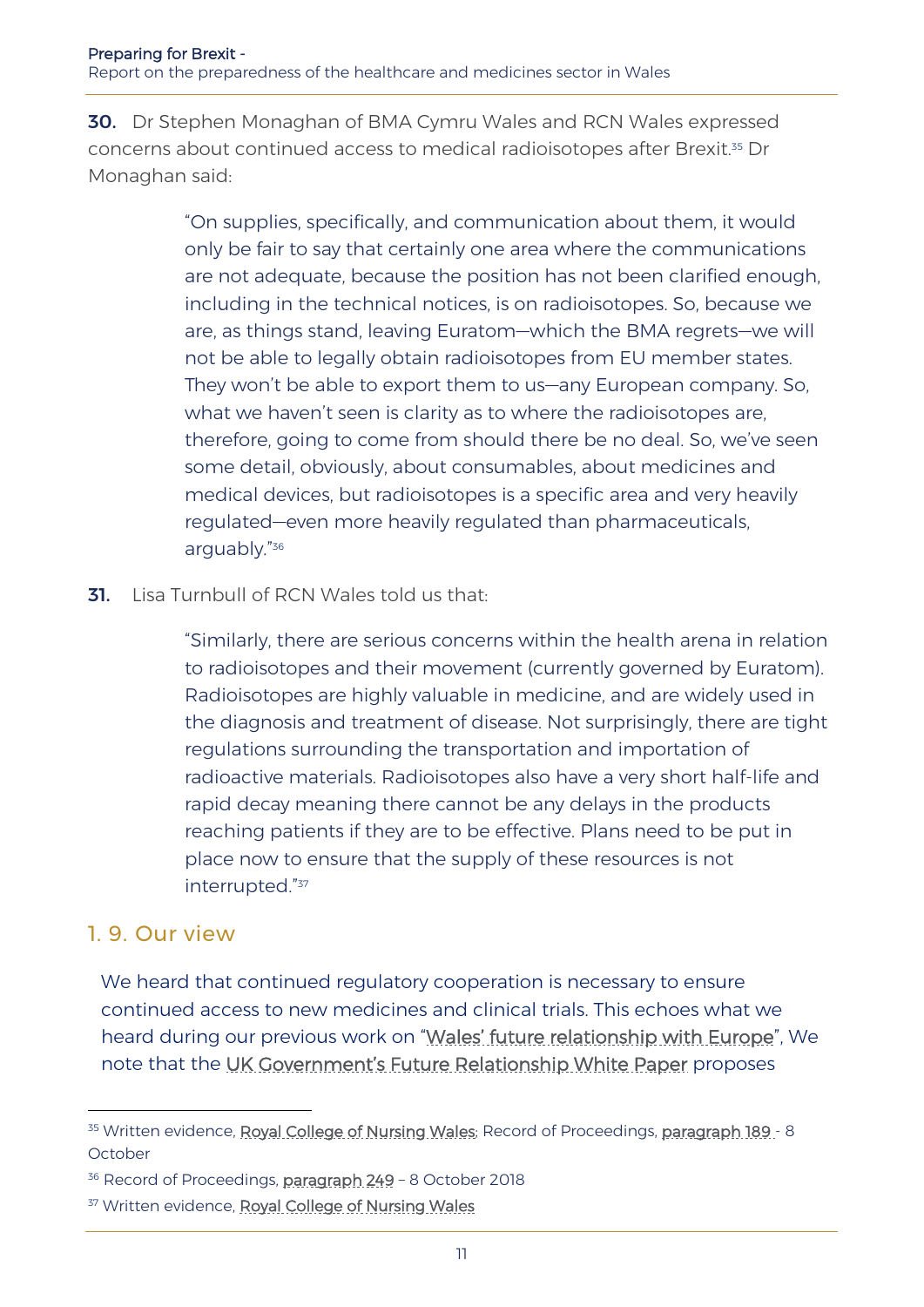30. Dr Stephen Monaghan of BMA Cymru Wales and RCN Wales expressed concerns about continued access to medical radioisotopes after Brexit.<sup>35</sup> Dr Monaghan said:

> "On supplies, specifically, and communication about them, it would only be fair to say that certainly one area where the communications are not adequate, because the position has not been clarified enough, including in the technical notices, is on radioisotopes. So, because we are, as things stand, leaving Euratom—which the BMA regrets—we will not be able to legally obtain radioisotopes from EU member states. They won't be able to export them to us—any European company. So, what we haven't seen is clarity as to where the radioisotopes are, therefore, going to come from should there be no deal. So, we've seen some detail, obviously, about consumables, about medicines and medical devices, but radioisotopes is a specific area and very heavily regulated—even more heavily regulated than pharmaceuticals, arguably." 36

**31.** Lisa Turnbull of RCN Wales told us that:

"Similarly, there are serious concerns within the health arena in relation to radioisotopes and their movement (currently governed by Euratom). Radioisotopes are highly valuable in medicine, and are widely used in the diagnosis and treatment of disease. Not surprisingly, there are tight regulations surrounding the transportation and importation of radioactive materials. Radioisotopes also have a very short half-life and rapid decay meaning there cannot be any delays in the products reaching patients if they are to be effective. Plans need to be put in place now to ensure that the supply of these resources is not interrupted."<sup>37</sup>

#### 1. 9. Our view

-

We heard that continued regulatory cooperation is necessary to ensure continued access to new medicines and clinical trials. This echoes what we heard during our previous work on "Wales' [future relationship with Europe](http://www.senedd.assembly.wales/mgIssueHistoryHome.aspx?IId=20823)", We note that the UK Government'[s Future Relationship White Paper](https://assets.publishing.service.gov.uk/government/uploads/system/uploads/attachment_data/file/725288/The_future_relationship_between_the_United_Kingdom_and_the_European_Union.pdf) proposes

<sup>&</sup>lt;sup>35</sup> Written evidence, [Royal College of Nursing Wales;](http://senedd.assembly.wales/documents/s79233/Correspondence%20from%20the%20Royal%20College%20of%20Nursing%20Wales%20regarding%20the%20follow-up%20inquiry%20into%20how%20the%20.pdf) Record of Proceedings, [paragraph 189](http://record.assembly.wales/Committee/5051) - 8 October

<sup>&</sup>lt;sup>36</sup> Record of Proceedings, [paragraph 249](http://record.assembly.wales/Committee/5051) - 8 October 2018

<sup>&</sup>lt;sup>37</sup> Written evidence, [Royal College of Nursing Wales](http://senedd.assembly.wales/documents/s79233/Correspondence%20from%20the%20Royal%20College%20of%20Nursing%20Wales%20regarding%20the%20follow-up%20inquiry%20into%20how%20the%20.pdf)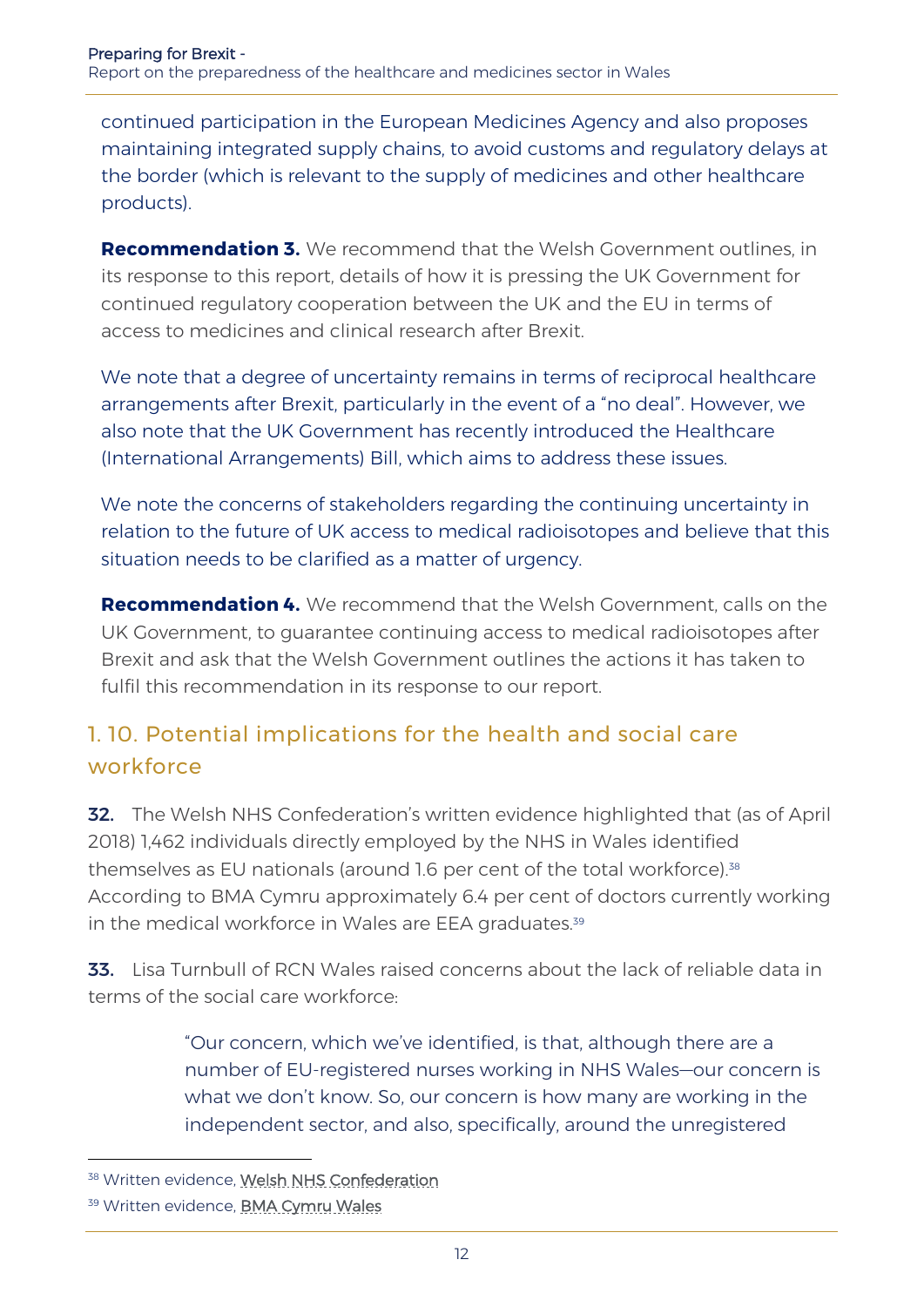continued participation in the European Medicines Agency and also proposes maintaining integrated supply chains, to avoid customs and regulatory delays at the border (which is relevant to the supply of medicines and other healthcare products).

**Recommendation 3.** We recommend that the Welsh Government outlines, in its response to this report, details of how it is pressing the UK Government for continued regulatory cooperation between the UK and the EU in terms of access to medicines and clinical research after Brexit.

We note that a degree of uncertainty remains in terms of reciprocal healthcare arrangements after Brexit, particularly in the event of a "no deal". However, we also note that the UK Government has recently introduced the Healthcare (International Arrangements) Bill, which aims to address these issues.

We note the concerns of stakeholders regarding the continuing uncertainty in relation to the future of UK access to medical radioisotopes and believe that this situation needs to be clarified as a matter of urgency.

**Recommendation 4.** We recommend that the Welsh Government, calls on the UK Government, to guarantee continuing access to medical radioisotopes after Brexit and ask that the Welsh Government outlines the actions it has taken to fulfil this recommendation in its response to our report.

## 1. 10. Potential implications for the health and social care workforce

**32.** The Welsh NHS Confederation's written evidence highlighted that (as of April 2018) 1,462 individuals directly employed by the NHS in Wales identified themselves as EU nationals (around 1.6 per cent of the total workforce).<sup>38</sup> According to BMA Cymru approximately 6.4 per cent of doctors currently working in the medical workforce in Wales are EEA graduates.<sup>39</sup>

33. Lisa Turnbull of RCN Wales raised concerns about the lack of reliable data in terms of the social care workforce:

> "Our concern, which we've identified, is that, although there are a number of EU-registered nurses working in NHS Wales—our concern is what we don't know. So, our concern is how many are working in the independent sector, and also, specifically, around the unregistered

j

<sup>38</sup> Written evidence, [Welsh NHS Confederation](http://senedd.assembly.wales/documents/s79232/Correspondence%20from%20the%20Welsh%20NHS%20Confederation%20regarding%20the%20follow-up%20inquiry%20into%20how%20the%20Welsh%20G.pdf)

<sup>39</sup> Written evidence, [BMA Cymru Wales](http://senedd.assembly.wales/documents/s79229/Correspondence%20from%20BMA%20Cymru%20Wales%20regarding%20the%20follow-up%20inquiry%20into%20how%20the%20Welsh%20Government%20is.pdf)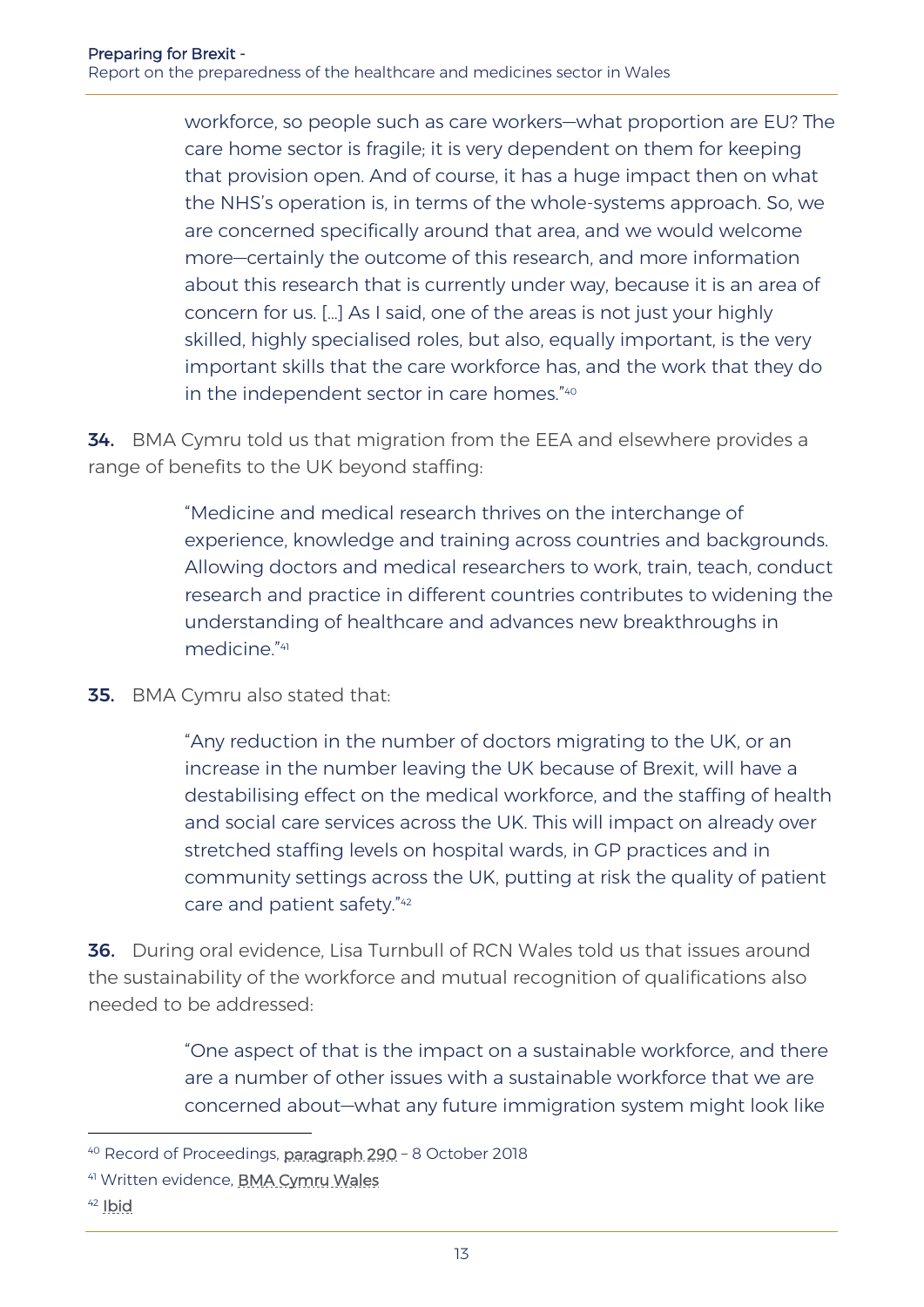workforce, so people such as care workers—what proportion are EU? The care home sector is fragile; it is very dependent on them for keeping that provision open. And of course, it has a huge impact then on what the NHS's operation is, in terms of the whole-systems approach. So, we are concerned specifically around that area, and we would welcome more—certainly the outcome of this research, and more information about this research that is currently under way, because it is an area of concern for us. […] As I said, one of the areas is not just your highly skilled, highly specialised roles, but also, equally important, is the very important skills that the care workforce has, and the work that they do in the independent sector in care homes." 40

**34.** BMA Cymru told us that migration from the EEA and elsewhere provides a range of benefits to the UK beyond staffing:

> "Medicine and medical research thrives on the interchange of experience, knowledge and training across countries and backgrounds. Allowing doctors and medical researchers to work, train, teach, conduct research and practice in different countries contributes to widening the understanding of healthcare and advances new breakthroughs in medicine." 41

**35.** BMA Cymru also stated that:

"Any reduction in the number of doctors migrating to the UK, or an increase in the number leaving the UK because of Brexit, will have a destabilising effect on the medical workforce, and the staffing of health and social care services across the UK. This will impact on already over stretched staffing levels on hospital wards, in GP practices and in community settings across the UK, putting at risk the quality of patient care and patient safety." 42

36. During oral evidence, Lisa Turnbull of RCN Wales told us that issues around the sustainability of the workforce and mutual recognition of qualifications also needed to be addressed:

> "One aspect of that is the impact on a sustainable workforce, and there are a number of other issues with a sustainable workforce that we are concerned about—what any future immigration system might look like

<sup>&</sup>lt;sup>40</sup> Record of Proceedings, [paragraph 290](http://record.assembly.wales/Committee/5051) - 8 October 2018

<sup>41</sup> Written evidence, [BMA Cymru Wales](http://senedd.assembly.wales/documents/s79229/Correspondence%20from%20BMA%20Cymru%20Wales%20regarding%20the%20follow-up%20inquiry%20into%20how%20the%20Welsh%20Government%20is.pdf)

<sup>42</sup> [Ibid](http://senedd.assembly.wales/documents/s79229/Correspondence%20from%20BMA%20Cymru%20Wales%20regarding%20the%20follow-up%20inquiry%20into%20how%20the%20Welsh%20Government%20is.pdf)